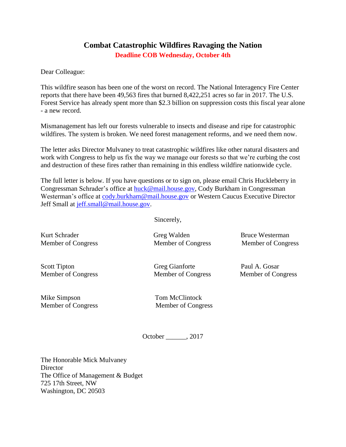## **Combat Catastrophic Wildfires Ravaging the Nation Deadline COB Wednesday, October 4th**

Dear Colleague:

This wildfire season has been one of the worst on record. The National Interagency Fire Center reports that there have been 49,563 fires that burned 8,422,251 acres so far in 2017. The U.S. Forest Service has already spent more than \$2.3 billion on suppression costs this fiscal year alone - a new record.

Mismanagement has left our forests vulnerable to insects and disease and ripe for catastrophic wildfires. The system is broken. We need forest management reforms, and we need them now.

The letter asks Director Mulvaney to treat catastrophic wildfires like other natural disasters and work with Congress to help us fix the way we manage our forests so that we're curbing the cost and destruction of these fires rather than remaining in this endless wildfire nationwide cycle.

The full letter is below. If you have questions or to sign on, please email Chris Huckleberry in Congressman Schrader's office at [huck@mail.house.gov,](mailto:huck@mail.house.gov) Cody Burkham in Congressman Westerman's office at [cody.burkham@mail.house.gov](mailto:cody.burkham@mail.house.gov) or Western Caucus Executive Director Jeff Small at [jeff.small@mail.house.gov.](mailto:jeff.small@mail.house.gov)

Sincerely,

Kurt Schrader Greg Walden Bruce Westerman

Member of Congress Member of Congress Member of Congress

Member of Congress Member of Congress Member of Congress

Scott Tipton Greg Gianforte Paul A. Gosar

Mike Simpson Tom McClintock

Member of Congress Member of Congress

October \_\_\_\_\_\_, 2017

The Honorable Mick Mulvaney **Director** The Office of Management & Budget 725 17th Street, NW Washington, DC 20503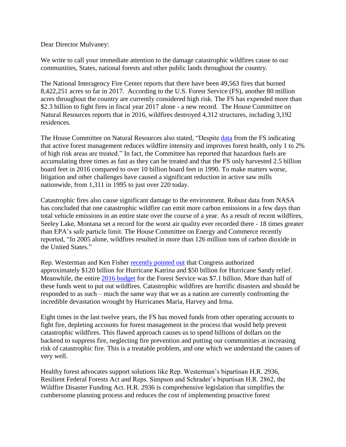Dear Director Mulvaney:

We write to call your immediate attention to the damage catastrophic wildfires cause to our communities, States, national forests and other public lands throughout the country.

The National Interagency Fire Center reports that there have been 49,563 fires that burned 8,422,251 acres so far in 2017. According to the U.S. Forest Service (FS), another 80 million acres throughout the country are currently considered high risk. The FS has expended more than \$2.3 billion to fight fires in fiscal year 2017 alone - a new record. The House Committee on Natural Resources reports that in 2016, wildfires destroyed 4,312 structures, including 3,192 residences.

The House Committee on Natural Resources also stated, "Despite [data](https://gosar.house.gov/components/redirect/r.aspx?ID=7148-524755) from the FS indicating that active forest management reduces wildfire intensity and improves forest health, only 1 to 2% of high risk areas are treated." In fact, the Committee has reported that hazardous fuels are accumulating three times as fast as they can be treated and that the FS only harvested 2.5 billion board feet in 2016 compared to over 10 billion board feet in 1990. To make matters worse, litigation and other challenges have caused a significant reduction in active saw mills nationwide, from 1,311 in 1995 to just over 220 today.

Catastrophic fires also cause significant damage to the environment. Robust data from NASA has concluded that one catastrophic wildfire can emit more carbon emissions in a few days than total vehicle emissions in an entire state over the course of a year. As a result of recent wildfires, Seeley Lake, Montana set a record for the worst air quality ever recorded there - 18 times greater than EPA's safe particle limit. The House Committee on Energy and Commerce recently reported, "In 2005 alone, wildfires resulted in more than 126 million tons of carbon dioxide in the United States."

Rep. Westerman and Ken Fisher [recently pointed out](https://www.usatoday.com/story/opinion/2017/09/20/wildfire-crisis-has-been-blanketed-hurricane-hysteria-ken-fisher-bruce-westerman-column/658959001/) that Congress authorized approximately \$120 billion for Hurricane Katrina and \$50 billion for Hurricane Sandy relief. Meanwhile, the entire 2016 [budget](https://gosar.house.gov/components/redirect/r.aspx?ID=7149-524755) for the Forest Service was \$7.1 billion. More than half of these funds went to put out wildfires. Catastrophic wildfires are horrific disasters and should be responded to as such – much the same way that we as a nation are currently confronting the incredible devastation wrought by Hurricanes Maria, Harvey and Irma.

Eight times in the last twelve years, the FS has moved funds from other operating accounts to fight fire, depleting accounts for forest management in the process that would help prevent catastrophic wildfires. This flawed approach causes us to spend billions of dollars on the backend to suppress fire, neglecting fire prevention and putting our communities at increasing risk of catastrophic fire. This is a treatable problem, and one which we understand the causes of very well.

Healthy forest advocates support solutions like Rep. Westerman's bipartisan H.R. 2936, Resilient Federal Forests Act and Reps. Simpson and Schrader's bipartisan H.R. 2862, the Wildfire Disaster Funding Act. H.R. 2936 is comprehensive legislation that simplifies the cumbersome planning process and reduces the cost of implementing proactive forest